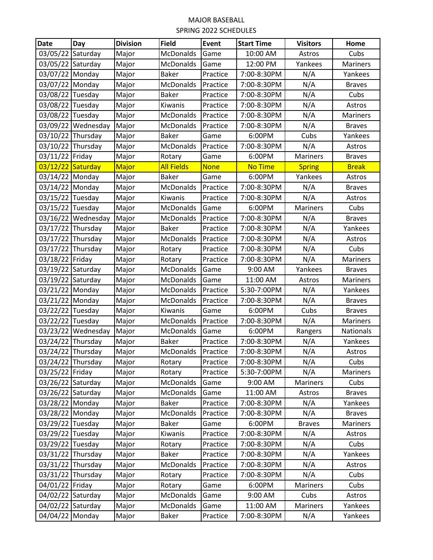## MAJOR BASEBALL SPRING 2022 SCHEDULES

| <b>Date</b>       | Day                | <b>Division</b> | <b>Field</b>      | Event       | <b>Start Time</b> | <b>Visitors</b> | Home             |
|-------------------|--------------------|-----------------|-------------------|-------------|-------------------|-----------------|------------------|
| 03/05/22          | Saturday           | Major           | McDonalds         | Game        | 10:00 AM          | Astros          | Cubs             |
| 03/05/22          | Saturday           | Major           | <b>McDonalds</b>  | Game        | 12:00 PM          | Yankees         | Mariners         |
| 03/07/22 Monday   |                    | Major           | <b>Baker</b>      | Practice    | 7:00-8:30PM       | N/A             | Yankees          |
| 03/07/22 Monday   |                    | Major           | McDonalds         | Practice    | 7:00-8:30PM       | N/A             | <b>Braves</b>    |
| 03/08/22 Tuesday  |                    | Major           | <b>Baker</b>      | Practice    | 7:00-8:30PM       | N/A             | Cubs             |
| 03/08/22 Tuesday  |                    | Major           | Kiwanis           | Practice    | 7:00-8:30PM       | N/A             | Astros           |
| 03/08/22          | Tuesday            | Major           | McDonalds         | Practice    | 7:00-8:30PM       | N/A             | <b>Mariners</b>  |
|                   | 03/09/22 Wednesday | Major           | <b>McDonalds</b>  | Practice    | 7:00-8:30PM       | N/A             | <b>Braves</b>    |
| 03/10/22 Thursday |                    | Major           | <b>Baker</b>      | Game        | 6:00PM            | Cubs            | Yankees          |
| 03/10/22 Thursday |                    | Major           | McDonalds         | Practice    | 7:00-8:30PM       | N/A             | Astros           |
| 03/11/22          | Friday             | Major           | Rotary            | Game        | 6:00PM            | Mariners        | <b>Braves</b>    |
| 03/12/22          | Saturday           | Major           | <b>All Fields</b> | <b>None</b> | <b>No Time</b>    | <b>Spring</b>   | <b>Break</b>     |
| 03/14/22 Monday   |                    | Major           | <b>Baker</b>      | Game        | 6:00PM            | Yankees         | Astros           |
| 03/14/22 Monday   |                    | Major           | <b>McDonalds</b>  | Practice    | 7:00-8:30PM       | N/A             | <b>Braves</b>    |
| 03/15/22 Tuesday  |                    | Major           | Kiwanis           | Practice    | 7:00-8:30PM       | N/A             | Astros           |
| 03/15/22 Tuesday  |                    | Major           | McDonalds         | Game        | 6:00PM            | Mariners        | Cubs             |
| 03/16/22          | Wednesday          | Major           | McDonalds         | Practice    | 7:00-8:30PM       | N/A             | <b>Braves</b>    |
| 03/17/22 Thursday |                    | Major           | <b>Baker</b>      | Practice    | 7:00-8:30PM       | N/A             | Yankees          |
| 03/17/22 Thursday |                    | Major           | McDonalds         | Practice    | 7:00-8:30PM       | N/A             | Astros           |
| 03/17/22          | Thursday           | Major           | Rotary            | Practice    | 7:00-8:30PM       | N/A             | Cubs             |
| 03/18/22          | Friday             | Major           | Rotary            | Practice    | 7:00-8:30PM       | N/A             | Mariners         |
| 03/19/22          | Saturday           | Major           | McDonalds         | Game        | 9:00 AM           | Yankees         | <b>Braves</b>    |
| 03/19/22 Saturday |                    | Major           | <b>McDonalds</b>  | Game        | 11:00 AM          | Astros          | Mariners         |
| 03/21/22 Monday   |                    | Major           | <b>McDonalds</b>  | Practice    | 5:30-7:00PM       | N/A             | Yankees          |
| 03/21/22          | Monday             | Major           | McDonalds         | Practice    | 7:00-8:30PM       | N/A             | <b>Braves</b>    |
| 03/22/22 Tuesday  |                    | Major           | Kiwanis           | Game        | 6:00PM            | Cubs            | <b>Braves</b>    |
| 03/22/22 Tuesday  |                    | Major           | McDonalds         | Practice    | 7:00-8:30PM       | N/A             | <b>Mariners</b>  |
|                   | 03/23/22 Wednesday | Major           | <b>McDonalds</b>  | Game        | 6:00PM            | Rangers         | <b>Nationals</b> |
| 03/24/22          | Thursday           | Major           | <b>Baker</b>      | Practice    | 7:00-8:30PM       | N/A             | Yankees          |
| 03/24/22 Thursday |                    | Major           | <b>McDonalds</b>  | Practice    | 7:00-8:30PM       | N/A             | Astros           |
| 03/24/22 Thursday |                    | Major           | Rotary            | Practice    | 7:00-8:30PM       | N/A             | Cubs             |
| 03/25/22 Friday   |                    | Major           | Rotary            | Practice    | 5:30-7:00PM       | N/A             | <b>Mariners</b>  |
| 03/26/22 Saturday |                    | Major           | McDonalds         | Game        | 9:00 AM           | Mariners        | Cubs             |
| 03/26/22 Saturday |                    | Major           | <b>McDonalds</b>  | Game        | 11:00 AM          | Astros          | <b>Braves</b>    |
| 03/28/22 Monday   |                    | Major           | <b>Baker</b>      | Practice    | 7:00-8:30PM       | N/A             | Yankees          |
| 03/28/22 Monday   |                    | Major           | McDonalds         | Practice    | 7:00-8:30PM       | N/A             | <b>Braves</b>    |
| 03/29/22 Tuesday  |                    | Major           | <b>Baker</b>      | Game        | 6:00PM            | <b>Braves</b>   | Mariners         |
| 03/29/22 Tuesday  |                    | Major           | Kiwanis           | Practice    | 7:00-8:30PM       | N/A             | Astros           |
| 03/29/22 Tuesday  |                    | Major           | Rotary            | Practice    | 7:00-8:30PM       | N/A             | Cubs             |
| 03/31/22 Thursday |                    | Major           | <b>Baker</b>      | Practice    | 7:00-8:30PM       | N/A             | Yankees          |
| 03/31/22 Thursday |                    | Major           | McDonalds         | Practice    | 7:00-8:30PM       | N/A             | Astros           |
| 03/31/22 Thursday |                    | Major           | Rotary            | Practice    | 7:00-8:30PM       | N/A             | Cubs             |
| 04/01/22 Friday   |                    | Major           | Rotary            | Game        | 6:00PM            | Mariners        | Cubs             |
| 04/02/22 Saturday |                    | Major           | McDonalds         | Game        | 9:00 AM           | Cubs            | Astros           |
| 04/02/22 Saturday |                    | Major           | McDonalds         | Game        | 11:00 AM          | Mariners        | Yankees          |
| 04/04/22 Monday   |                    | Major           | Baker             | Practice    | 7:00-8:30PM       | N/A             | Yankees          |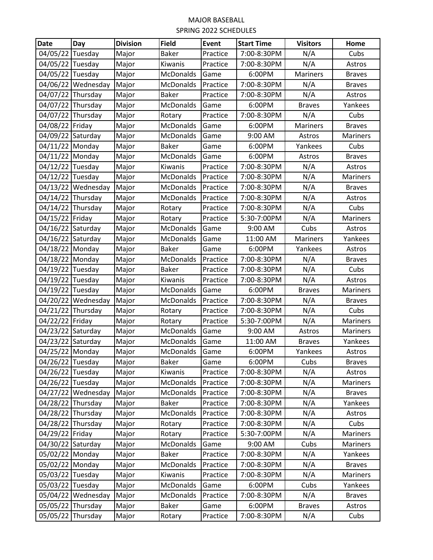## MAJOR BASEBALL SPRING 2022 SCHEDULES

| <b>Date</b>       | Day                | <b>Division</b> | <b>Field</b>     | Event    | <b>Start Time</b> | <b>Visitors</b> | Home            |
|-------------------|--------------------|-----------------|------------------|----------|-------------------|-----------------|-----------------|
| 04/05/22 Tuesday  |                    | Major           | <b>Baker</b>     | Practice | 7:00-8:30PM       | N/A             | Cubs            |
| 04/05/22 Tuesday  |                    | Major           | Kiwanis          | Practice | 7:00-8:30PM       | N/A             | Astros          |
| 04/05/22 Tuesday  |                    | Major           | McDonalds        | Game     | 6:00PM            | <b>Mariners</b> | <b>Braves</b>   |
|                   | 04/06/22 Wednesday | Major           | McDonalds        | Practice | 7:00-8:30PM       | N/A             | <b>Braves</b>   |
| 04/07/22 Thursday |                    | Major           | <b>Baker</b>     | Practice | 7:00-8:30PM       | N/A             | Astros          |
| 04/07/22 Thursday |                    | Major           | McDonalds        | Game     | 6:00PM            | <b>Braves</b>   | Yankees         |
| 04/07/22 Thursday |                    | Major           | Rotary           | Practice | 7:00-8:30PM       | N/A             | Cubs            |
| 04/08/22 Friday   |                    | Major           | McDonalds        | Game     | 6:00PM            | Mariners        | <b>Braves</b>   |
| 04/09/22 Saturday |                    | Major           | McDonalds        | Game     | 9:00 AM           | Astros          | <b>Mariners</b> |
| 04/11/22 Monday   |                    | Major           | Baker            | Game     | 6:00PM            | Yankees         | Cubs            |
| 04/11/22 Monday   |                    | Major           | McDonalds        | Game     | 6:00PM            | Astros          | <b>Braves</b>   |
| 04/12/22 Tuesday  |                    | Major           | Kiwanis          | Practice | 7:00-8:30PM       | N/A             | Astros          |
| 04/12/22 Tuesday  |                    | Major           | McDonalds        | Practice | 7:00-8:30PM       | N/A             | <b>Mariners</b> |
|                   | 04/13/22 Wednesday | Major           | McDonalds        | Practice | 7:00-8:30PM       | N/A             | <b>Braves</b>   |
| 04/14/22 Thursday |                    | Major           | McDonalds        | Practice | 7:00-8:30PM       | N/A             | Astros          |
| 04/14/22 Thursday |                    | Major           | Rotary           | Practice | 7:00-8:30PM       | N/A             | Cubs            |
| 04/15/22 Friday   |                    | Major           | Rotary           | Practice | 5:30-7:00PM       | N/A             | Mariners        |
| 04/16/22 Saturday |                    | Major           | McDonalds        | Game     | 9:00 AM           | Cubs            | Astros          |
| 04/16/22 Saturday |                    | Major           | McDonalds        | Game     | 11:00 AM          | Mariners        | Yankees         |
| 04/18/22 Monday   |                    | Major           | <b>Baker</b>     | Game     | 6:00PM            | Yankees         | Astros          |
| 04/18/22 Monday   |                    | Major           | McDonalds        | Practice | 7:00-8:30PM       | N/A             | <b>Braves</b>   |
| 04/19/22 Tuesday  |                    | Major           | <b>Baker</b>     | Practice | 7:00-8:30PM       | N/A             | Cubs            |
| 04/19/22 Tuesday  |                    | Major           | Kiwanis          | Practice | 7:00-8:30PM       | N/A             | Astros          |
| 04/19/22 Tuesday  |                    | Major           | McDonalds        | Game     | 6:00PM            | <b>Braves</b>   | Mariners        |
|                   | 04/20/22 Wednesday | Major           | McDonalds        | Practice | 7:00-8:30PM       | N/A             | <b>Braves</b>   |
| 04/21/22 Thursday |                    | Major           | Rotary           | Practice | 7:00-8:30PM       | N/A             | Cubs            |
| 04/22/22 Friday   |                    | Major           | Rotary           | Practice | 5:30-7:00PM       | N/A             | Mariners        |
| 04/23/22 Saturday |                    | Major           | McDonalds        | Game     | 9:00 AM           | Astros          | <b>Mariners</b> |
| 04/23/22 Saturday |                    | Major           | <b>McDonalds</b> | Game     | 11:00 AM          | <b>Braves</b>   | Yankees         |
| 04/25/22 Monday   |                    | Major           | <b>McDonalds</b> | Game     | 6:00PM            | Yankees         | Astros          |
| 04/26/22 Tuesday  |                    | Major           | <b>Baker</b>     | Game     | 6:00PM            | Cubs            | <b>Braves</b>   |
| 04/26/22 Tuesday  |                    | Major           | Kiwanis          | Practice | 7:00-8:30PM       | N/A             | Astros          |
| 04/26/22 Tuesday  |                    | Major           | McDonalds        | Practice | 7:00-8:30PM       | N/A             | Mariners        |
|                   | 04/27/22 Wednesday | Major           | McDonalds        | Practice | 7:00-8:30PM       | N/A             | <b>Braves</b>   |
| 04/28/22 Thursday |                    | Major           | <b>Baker</b>     | Practice | 7:00-8:30PM       | N/A             | Yankees         |
|                   | 04/28/22 Thursday  | Major           | McDonalds        | Practice | 7:00-8:30PM       | N/A             | Astros          |
| 04/28/22 Thursday |                    | Major           | Rotary           | Practice | 7:00-8:30PM       | N/A             | Cubs            |
| 04/29/22 Friday   |                    | Major           | Rotary           | Practice | 5:30-7:00PM       | N/A             | <b>Mariners</b> |
| 04/30/22 Saturday |                    | Major           | McDonalds        | Game     | 9:00 AM           | Cubs            | Mariners        |
| 05/02/22 Monday   |                    | Major           | <b>Baker</b>     | Practice | 7:00-8:30PM       | N/A             | Yankees         |
| 05/02/22 Monday   |                    | Major           | McDonalds        | Practice | 7:00-8:30PM       | N/A             | <b>Braves</b>   |
| 05/03/22 Tuesday  |                    | Major           | Kiwanis          | Practice | 7:00-8:30PM       | N/A             | Mariners        |
| 05/03/22 Tuesday  |                    | Major           | McDonalds        | Game     | 6:00PM            | Cubs            | Yankees         |
|                   | 05/04/22 Wednesday | Major           | McDonalds        | Practice | 7:00-8:30PM       | N/A             | <b>Braves</b>   |
| 05/05/22 Thursday |                    | Major           | Baker            | Game     | 6:00PM            | <b>Braves</b>   | Astros          |
| 05/05/22 Thursday |                    | Major           | Rotary           | Practice | 7:00-8:30PM       | N/A             | Cubs            |